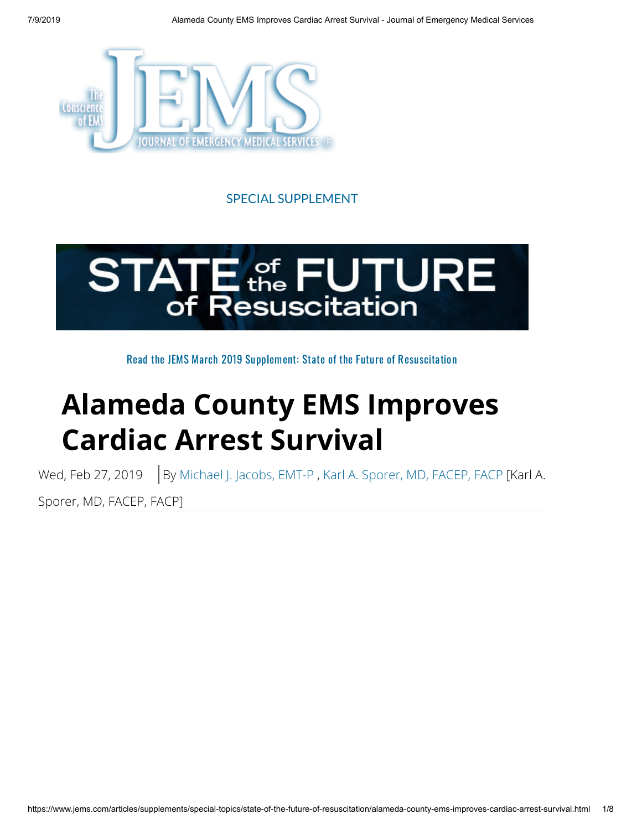

#### SPECIAL SUPPLEMENT



Read the JEMS March 2019 Supplement: State of the Future of [Resuscitation](https://digital.pennwell.com/pennwellevents/jems_2019_state_of_the_future_of_resuscitation?pg=1#pg1)

# **Alameda County EMS Improves Cardiac Arrest Survival**

Wed, Feb 27, 2019 | By [Michael J. Jacobs, EMT-P](https://www.jems.com/content/jems/en/authors/l-p/michael-j-jacobs-emt-p.html), [Karl A. Sporer, MD, FACEP, FACP](https://www.jems.com/content/jems/en/authors/g-k/karl-sporer-md-facep-facp.html) [Karl A.

Sporer, MD, FACEP, FACP]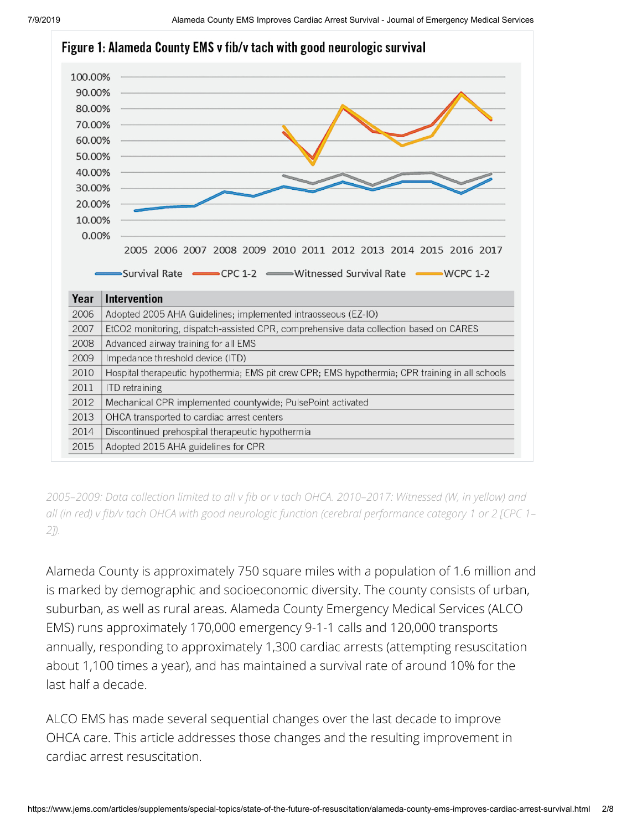

*2005–2009: Data collection limited to all v b or v tach OHCA. 2010–2017: Witnessed (W, in yellow) and all (in red) v b/v tach OHCA with good neurologic function (cerebral performance category 1 or 2 [CPC 1– 2]).*

Alameda County is approximately 750 square miles with a population of 1.6 million and is marked by demographic and socioeconomic diversity. The county consists of urban, suburban, as well as rural areas. Alameda County Emergency Medical Services (ALCO EMS) runs approximately 170,000 emergency 9-1-1 calls and 120,000 transports annually, responding to approximately 1,300 cardiac arrests (attempting resuscitation about 1,100 times a year), and has maintained a survival rate of around 10% for the last half a decade.

ALCO EMS has made several sequential changes over the last decade to improve OHCA care. This article addresses those changes and the resulting improvement in cardiac arrest resuscitation.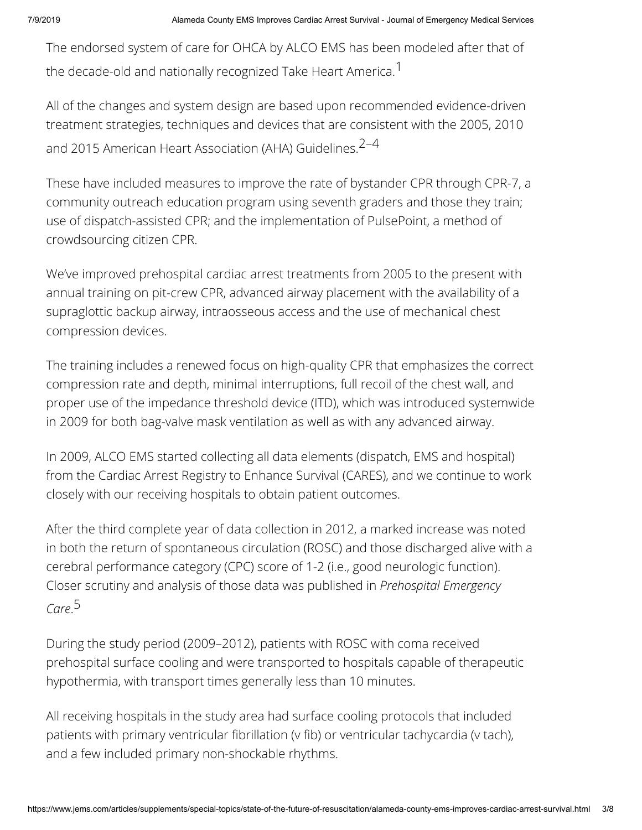The endorsed system of care for OHCA by ALCO EMS has been modeled after that of the decade-old and nationally recognized Take Heart America.<sup>1</sup>

All of the changes and system design are based upon recommended evidence-driven treatment strategies, techniques and devices that are consistent with the 2005, 2010 and 2015 American Heart Association (AHA) Guidelines.<sup>2-4</sup>

These have included measures to improve the rate of bystander CPR through CPR-7, a community outreach education program using seventh graders and those they train; use of dispatch-assisted CPR; and the implementation of PulsePoint, a method of crowdsourcing citizen CPR.

We've improved prehospital cardiac arrest treatments from 2005 to the present with annual training on pit-crew CPR, advanced airway placement with the availability of a supraglottic backup airway, intraosseous access and the use of mechanical chest compression devices.

The training includes a renewed focus on high-quality CPR that emphasizes the correct compression rate and depth, minimal interruptions, full recoil of the chest wall, and proper use of the impedance threshold device (ITD), which was introduced systemwide in 2009 for both bag-valve mask ventilation as well as with any advanced airway.

In 2009, ALCO EMS started collecting all data elements (dispatch, EMS and hospital) from the Cardiac Arrest Registry to Enhance Survival (CARES), and we continue to work closely with our receiving hospitals to obtain patient outcomes.

After the third complete year of data collection in 2012, a marked increase was noted in both the return of spontaneous circulation (ROSC) and those discharged alive with a cerebral performance category (CPC) score of 1-2 (i.e., good neurologic function). Closer scrutiny and analysis of those data was published in *Prehospital Emergency Care*.5

During the study period (2009–2012), patients with ROSC with coma received prehospital surface cooling and were transported to hospitals capable of therapeutic hypothermia, with transport times generally less than 10 minutes.

All receiving hospitals in the study area had surface cooling protocols that included patients with primary ventricular fibrillation (v fib) or ventricular tachycardia (v tach), and a few included primary non-shockable rhythms.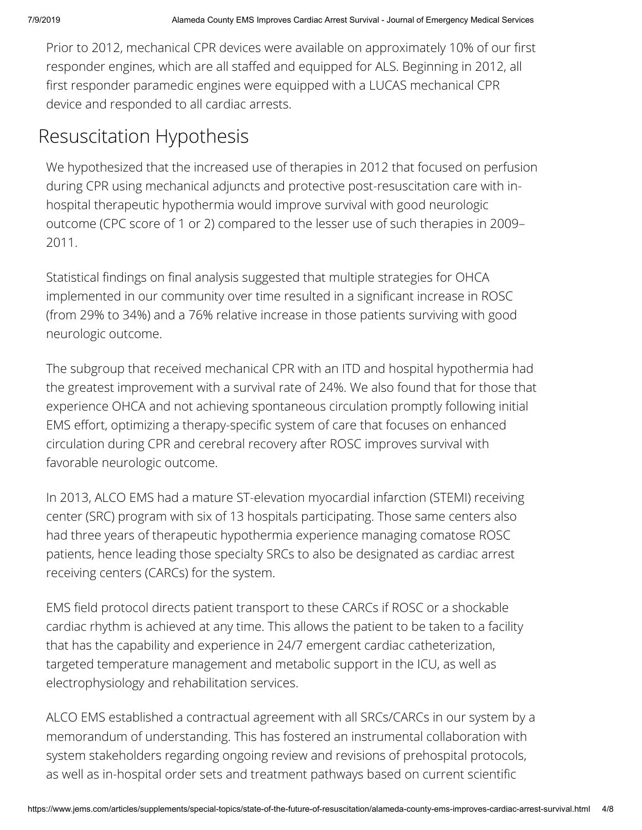Prior to 2012, mechanical CPR devices were available on approximately 10% of our first responder engines, which are all staffed and equipped for ALS. Beginning in 2012, all first responder paramedic engines were equipped with a LUCAS mechanical CPR device and responded to all cardiac arrests.

# Resuscitation Hypothesis

We hypothesized that the increased use of therapies in 2012 that focused on perfusion during CPR using mechanical adjuncts and protective post-resuscitation care with inhospital therapeutic hypothermia would improve survival with good neurologic outcome (CPC score of 1 or 2) compared to the lesser use of such therapies in 2009– 2011.

Statistical findings on final analysis suggested that multiple strategies for OHCA implemented in our community over time resulted in a significant increase in ROSC (from 29% to 34%) and a 76% relative increase in those patients surviving with good neurologic outcome.

The subgroup that received mechanical CPR with an ITD and hospital hypothermia had the greatest improvement with a survival rate of 24%. We also found that for those that experience OHCA and not achieving spontaneous circulation promptly following initial EMS effort, optimizing a therapy-specific system of care that focuses on enhanced circulation during CPR and cerebral recovery after ROSC improves survival with favorable neurologic outcome.

In 2013, ALCO EMS had a mature ST-elevation myocardial infarction (STEMI) receiving center (SRC) program with six of 13 hospitals participating. Those same centers also had three years of therapeutic hypothermia experience managing comatose ROSC patients, hence leading those specialty SRCs to also be designated as cardiac arrest receiving centers (CARCs) for the system.

EMS field protocol directs patient transport to these CARCs if ROSC or a shockable cardiac rhythm is achieved at any time. This allows the patient to be taken to a facility that has the capability and experience in 24/7 emergent cardiac catheterization, targeted temperature management and metabolic support in the ICU, as well as electrophysiology and rehabilitation services.

ALCO EMS established a contractual agreement with all SRCs/CARCs in our system by a memorandum of understanding. This has fostered an instrumental collaboration with system stakeholders regarding ongoing review and revisions of prehospital protocols, as well as in-hospital order sets and treatment pathways based on current scientific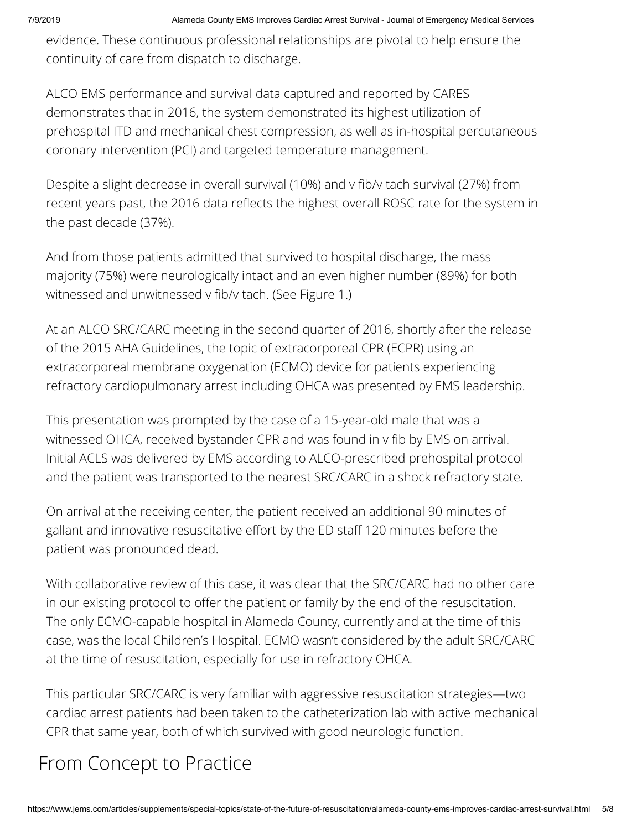evidence. These continuous professional relationships are pivotal to help ensure the continuity of care from dispatch to discharge.

ALCO EMS performance and survival data captured and reported by CARES demonstrates that in 2016, the system demonstrated its highest utilization of prehospital ITD and mechanical chest compression, as well as in-hospital percutaneous coronary intervention (PCI) and targeted temperature management.

Despite a slight decrease in overall survival (10%) and v fib/v tach survival (27%) from recent years past, the 2016 data reflects the highest overall ROSC rate for the system in the past decade (37%).

And from those patients admitted that survived to hospital discharge, the mass majority (75%) were neurologically intact and an even higher number (89%) for both witnessed and unwitnessed v fib/v tach. (See Figure 1.)

At an ALCO SRC/CARC meeting in the second quarter of 2016, shortly after the release of the 2015 AHA Guidelines, the topic of extracorporeal CPR (ECPR) using an extracorporeal membrane oxygenation (ECMO) device for patients experiencing refractory cardiopulmonary arrest including OHCA was presented by EMS leadership.

This presentation was prompted by the case of a 15-year-old male that was a witnessed OHCA, received bystander CPR and was found in v fib by EMS on arrival. Initial ACLS was delivered by EMS according to ALCO-prescribed prehospital protocol and the patient was transported to the nearest SRC/CARC in a shock refractory state.

On arrival at the receiving center, the patient received an additional 90 minutes of gallant and innovative resuscitative effort by the ED staff 120 minutes before the patient was pronounced dead.

With collaborative review of this case, it was clear that the SRC/CARC had no other care in our existing protocol to offer the patient or family by the end of the resuscitation. The only ECMO-capable hospital in Alameda County, currently and at the time of this case, was the local Children's Hospital. ECMO wasn't considered by the adult SRC/CARC at the time of resuscitation, especially for use in refractory OHCA.

This particular SRC/CARC is very familiar with aggressive resuscitation strategies—two cardiac arrest patients had been taken to the catheterization lab with active mechanical CPR that same year, both of which survived with good neurologic function.

# From Concept to Practice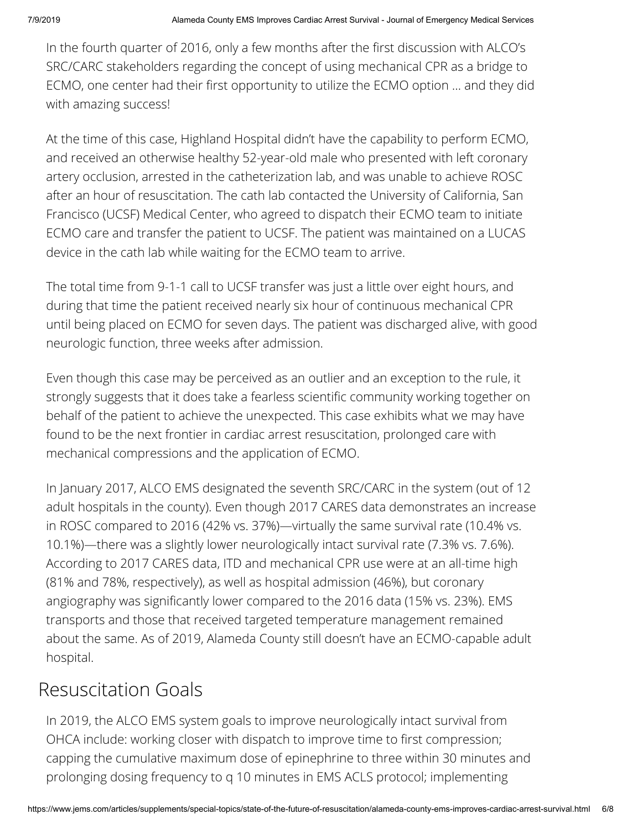In the fourth quarter of 2016, only a few months after the first discussion with ALCO's SRC/CARC stakeholders regarding the concept of using mechanical CPR as a bridge to ECMO, one center had their first opportunity to utilize the ECMO option ... and they did with amazing success!

At the time of this case, Highland Hospital didn't have the capability to perform ECMO, and received an otherwise healthy 52-year-old male who presented with left coronary artery occlusion, arrested in the catheterization lab, and was unable to achieve ROSC after an hour of resuscitation. The cath lab contacted the University of California, San Francisco (UCSF) Medical Center, who agreed to dispatch their ECMO team to initiate ECMO care and transfer the patient to UCSF. The patient was maintained on a LUCAS device in the cath lab while waiting for the ECMO team to arrive.

The total time from 9-1-1 call to UCSF transfer was just a little over eight hours, and during that time the patient received nearly six hour of continuous mechanical CPR until being placed on ECMO for seven days. The patient was discharged alive, with good neurologic function, three weeks after admission.

Even though this case may be perceived as an outlier and an exception to the rule, it strongly suggests that it does take a fearless scientific community working together on behalf of the patient to achieve the unexpected. This case exhibits what we may have found to be the next frontier in cardiac arrest resuscitation, prolonged care with mechanical compressions and the application of ECMO.

In January 2017, ALCO EMS designated the seventh SRC/CARC in the system (out of 12 adult hospitals in the county). Even though 2017 CARES data demonstrates an increase in ROSC compared to 2016 (42% vs. 37%)—virtually the same survival rate (10.4% vs. 10.1%)—there was a slightly lower neurologically intact survival rate (7.3% vs. 7.6%). According to 2017 CARES data, ITD and mechanical CPR use were at an all-time high (81% and 78%, respectively), as well as hospital admission (46%), but coronary angiography was significantly lower compared to the 2016 data (15% vs. 23%). EMS transports and those that received targeted temperature management remained about the same. As of 2019, Alameda County still doesn't have an ECMO-capable adult hospital.

## Resuscitation Goals

In 2019, the ALCO EMS system goals to improve neurologically intact survival from OHCA include: working closer with dispatch to improve time to first compression; capping the cumulative maximum dose of epinephrine to three within 30 minutes and prolonging dosing frequency to q 10 minutes in EMS ACLS protocol; implementing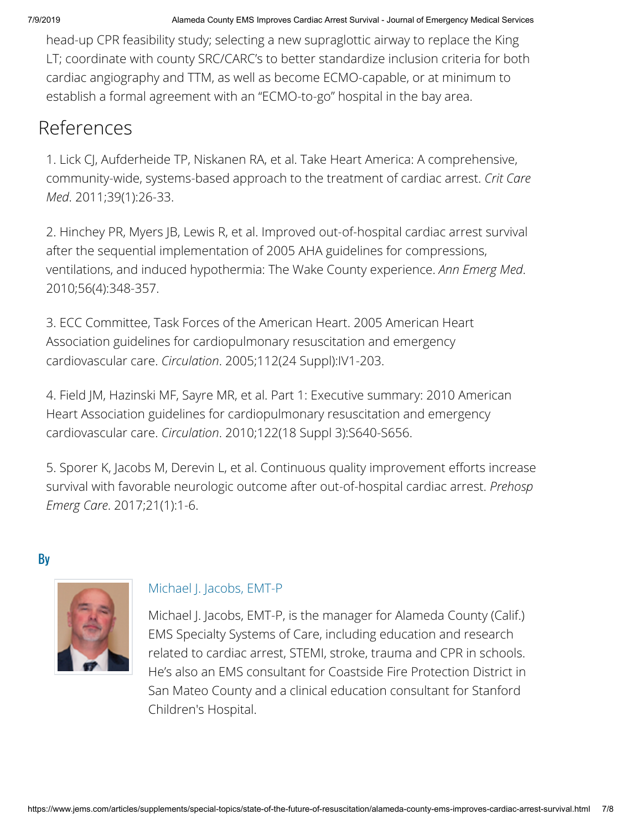head-up CPR feasibility study; selecting a new supraglottic airway to replace the King LT; coordinate with county SRC/CARC's to better standardize inclusion criteria for both cardiac angiography and TTM, as well as become ECMO-capable, or at minimum to establish a formal agreement with an "ECMO-to-go" hospital in the bay area.

### References

1. Lick CJ, Aufderheide TP, Niskanen RA, et al. Take Heart America: A comprehensive, community-wide, systems-based approach to the treatment of cardiac arrest. *Crit Care Med*. 2011;39(1):26-33.

2. Hinchey PR, Myers JB, Lewis R, et al. Improved out-of-hospital cardiac arrest survival after the sequential implementation of 2005 AHA guidelines for compressions, ventilations, and induced hypothermia: The Wake County experience. *Ann Emerg Med*. 2010;56(4):348-357.

3. ECC Committee, Task Forces of the American Heart. 2005 American Heart Association guidelines for cardiopulmonary resuscitation and emergency cardiovascular care. *Circulation*. 2005;112(24 Suppl):IV1-203.

4. Field JM, Hazinski MF, Sayre MR, et al. Part 1: Executive summary: 2010 American Heart Association guidelines for cardiopulmonary resuscitation and emergency cardiovascular care. *Circulation*. 2010;122(18 Suppl 3):S640-S656.

5. Sporer K, Jacobs M, Derevin L, et al. Continuous quality improvement efforts increase survival with favorable neurologic outcome after out-of-hospital cardiac arrest. *Prehosp Emerg Care*. 2017;21(1):1-6.

By



### [Michael J. Jacobs, EMT-P](https://www.jems.com/content/jems/en/authors/l-p/michael-j-jacobs-emt-p.html)

Michael J. Jacobs, EMT-P, is the manager for Alameda County (Calif.) EMS Specialty Systems of Care, including education and research related to cardiac arrest, STEMI, stroke, trauma and CPR in schools. He's also an EMS consultant for Coastside Fire Protection District in San Mateo County and a clinical education consultant for Stanford Children's Hospital.